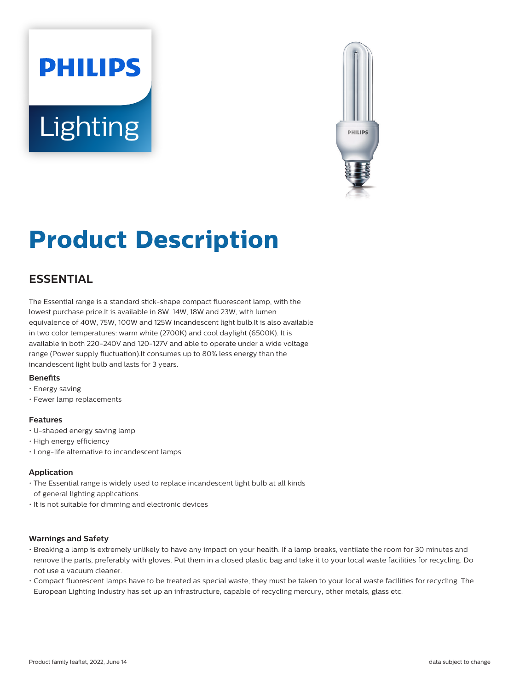# **PHILIPS Lighting**



## **Product Description**

### **ESSENTIAL**

The Essential range is a standard stick-shape compact fluorescent lamp, with the lowest purchase price.It is available in 8W, 14W, 18W and 23W, with lumen equivalence of 40W, 75W, 100W and 125W incandescent light bulb.It is also available in two color temperatures: warm white (2700K) and cool daylight (6500K). It is available in both 220-240V and 120-127V and able to operate under a wide voltage range (Power supply fluctuation).It consumes up to 80% less energy than the incandescent light bulb and lasts for 3 years.

#### **Benets**

- Energy saving
- Fewer lamp replacements

#### **Features**

- U-shaped energy saving lamp
- High energy efficiency
- Long-life alternative to incandescent lamps

#### **Application**

- The Essential range is widely used to replace incandescent light bulb at all kinds of general lighting applications.
- It is not suitable for dimming and electronic devices

#### **Warnings and Safety**

- Breaking a lamp is extremely unlikely to have any impact on your health. If a lamp breaks, ventilate the room for 30 minutes and remove the parts, preferably with gloves. Put them in a closed plastic bag and take it to your local waste facilities for recycling. Do not use a vacuum cleaner.
- Compact fluorescent lamps have to be treated as special waste, they must be taken to your local waste facilities for recycling. The European Lighting Industry has set up an infrastructure, capable of recycling mercury, other metals, glass etc.